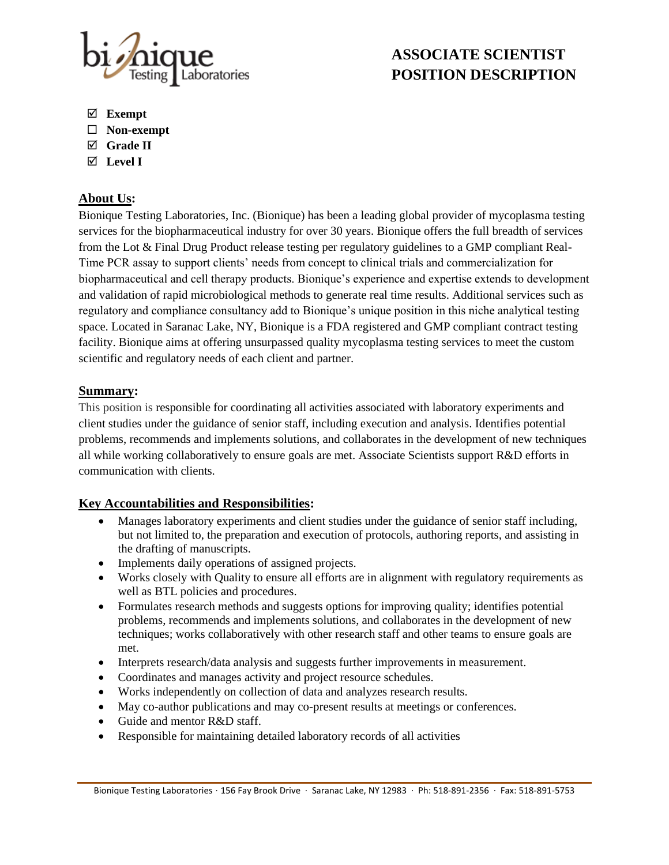

# **ASSOCIATE SCIENTIST POSITION DESCRIPTION**

- **Exempt**
- **Non-exempt**
- **Grade II**
- **Level I**

## **About Us:**

Bionique Testing Laboratories, Inc. (Bionique) has been a leading global provider of mycoplasma testing services for the biopharmaceutical industry for over 30 years. Bionique offers the full breadth of services from the Lot & Final Drug Product release testing per regulatory guidelines to a GMP compliant Real-Time PCR assay to support clients' needs from concept to clinical trials and commercialization for biopharmaceutical and cell therapy products. Bionique's experience and expertise extends to development and validation of rapid microbiological methods to generate real time results. Additional services such as regulatory and compliance consultancy add to Bionique's unique position in this niche analytical testing space. Located in Saranac Lake, NY, Bionique is a FDA registered and GMP compliant contract testing facility. Bionique aims at offering unsurpassed quality mycoplasma testing services to meet the custom scientific and regulatory needs of each client and partner.

## **Summary:**

This position is responsible for coordinating all activities associated with laboratory experiments and client studies under the guidance of senior staff, including execution and analysis. Identifies potential problems, recommends and implements solutions, and collaborates in the development of new techniques all while working collaboratively to ensure goals are met. Associate Scientists support R&D efforts in communication with clients.

## **Key Accountabilities and Responsibilities:**

- Manages laboratory experiments and client studies under the guidance of senior staff including, but not limited to, the preparation and execution of protocols, authoring reports, and assisting in the drafting of manuscripts.
- Implements daily operations of assigned projects.
- Works closely with Quality to ensure all efforts are in alignment with regulatory requirements as well as BTL policies and procedures.
- Formulates research methods and suggests options for improving quality; identifies potential problems, recommends and implements solutions, and collaborates in the development of new techniques; works collaboratively with other research staff and other teams to ensure goals are met.
- Interprets research/data analysis and suggests further improvements in measurement.
- Coordinates and manages activity and project resource schedules.
- Works independently on collection of data and analyzes research results.
- May co-author publications and may co-present results at meetings or conferences.
- Guide and mentor R&D staff.
- Responsible for maintaining detailed laboratory records of all activities